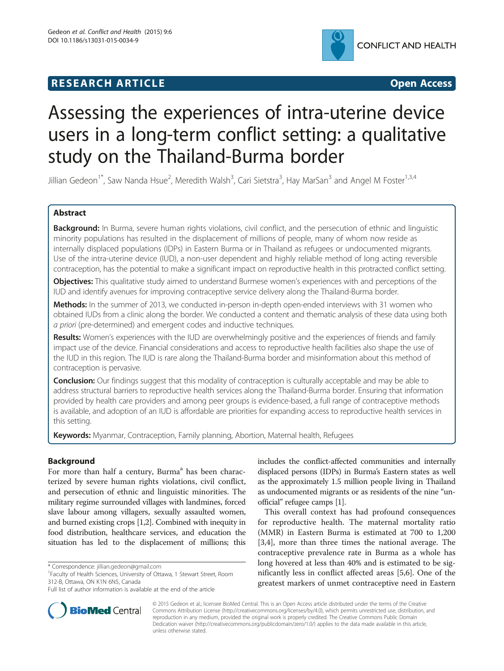# **RESEARCH ARTICLE Example 2014 12:30 The SEAR CHI ACCESS**



# Assessing the experiences of intra-uterine device users in a long-term conflict setting: a qualitative study on the Thailand-Burma border

Jillian Gedeon<sup>1\*</sup>, Saw Nanda Hsue<sup>2</sup>, Meredith Walsh<sup>3</sup>, Cari Sietstra<sup>3</sup>, Hay MarSan<sup>3</sup> and Angel M Foster<sup>1,3,4</sup>

# Abstract

Background: In Burma, severe human rights violations, civil conflict, and the persecution of ethnic and linguistic minority populations has resulted in the displacement of millions of people, many of whom now reside as internally displaced populations (IDPs) in Eastern Burma or in Thailand as refugees or undocumented migrants. Use of the intra-uterine device (IUD), a non-user dependent and highly reliable method of long acting reversible contraception, has the potential to make a significant impact on reproductive health in this protracted conflict setting.

Objectives: This qualitative study aimed to understand Burmese women's experiences with and perceptions of the IUD and identify avenues for improving contraceptive service delivery along the Thailand-Burma border.

Methods: In the summer of 2013, we conducted in-person in-depth open-ended interviews with 31 women who obtained IUDs from a clinic along the border. We conducted a content and thematic analysis of these data using both a priori (pre-determined) and emergent codes and inductive techniques.

Results: Women's experiences with the IUD are overwhelmingly positive and the experiences of friends and family impact use of the device. Financial considerations and access to reproductive health facilities also shape the use of the IUD in this region. The IUD is rare along the Thailand-Burma border and misinformation about this method of contraception is pervasive.

Conclusion: Our findings suggest that this modality of contraception is culturally acceptable and may be able to address structural barriers to reproductive health services along the Thailand-Burma border. Ensuring that information provided by health care providers and among peer groups is evidence-based, a full range of contraceptive methods is available, and adoption of an IUD is affordable are priorities for expanding access to reproductive health services in this setting.

Keywords: Myanmar, Contraception, Family planning, Abortion, Maternal health, Refugees

# Background

For more than half a century, Burma<sup>a</sup> has been characterized by severe human rights violations, civil conflict, and persecution of ethnic and linguistic minorities. The military regime surrounded villages with landmines, forced slave labour among villagers, sexually assaulted women, and burned existing crops [\[1,2](#page-6-0)]. Combined with inequity in food distribution, healthcare services, and education the situation has led to the displacement of millions; this

Faculty of Health Sciences, University of Ottawa, 1 Stewart Street, Room 312-B, Ottawa, ON K1N 6N5, Canada

includes the conflict-affected communities and internally displaced persons (IDPs) in Burma's Eastern states as well as the approximately 1.5 million people living in Thailand as undocumented migrants or as residents of the nine "unofficial" refugee camps [\[1\]](#page-6-0).

This overall context has had profound consequences for reproductive health. The maternal mortality ratio (MMR) in Eastern Burma is estimated at 700 to 1,200 [[3,4\]](#page-6-0), more than three times the national average. The contraceptive prevalence rate in Burma as a whole has long hovered at less than 40% and is estimated to be significantly less in conflict affected areas [\[5,6](#page-6-0)]. One of the greatest markers of unmet contraceptive need in Eastern



© 2015 Gedeon et al.; licensee BioMed Central. This is an Open Access article distributed under the terms of the Creative Commons Attribution License [\(http://creativecommons.org/licenses/by/4.0\)](http://creativecommons.org/licenses/by/4.0), which permits unrestricted use, distribution, and reproduction in any medium, provided the original work is properly credited. The Creative Commons Public Domain Dedication waiver [\(http://creativecommons.org/publicdomain/zero/1.0/](http://creativecommons.org/publicdomain/zero/1.0/)) applies to the data made available in this article, unless otherwise stated.

<sup>\*</sup> Correspondence: [jillian.gedeon@gmail.com](mailto:jillian.gedeon@gmail.com) <sup>1</sup>

Full list of author information is available at the end of the article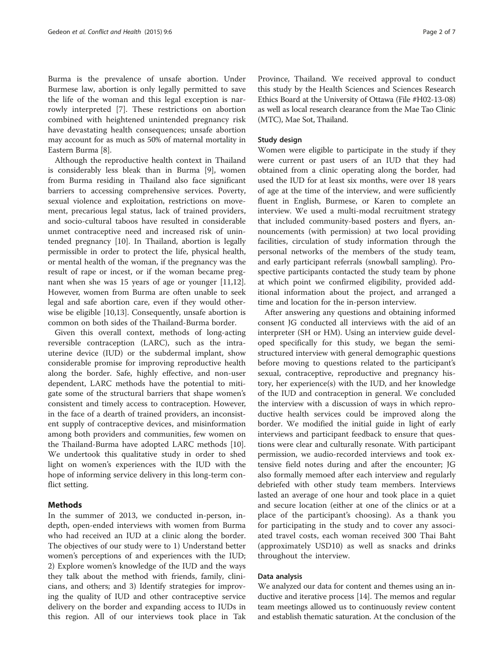Burma is the prevalence of unsafe abortion. Under Burmese law, abortion is only legally permitted to save the life of the woman and this legal exception is narrowly interpreted [\[7](#page-6-0)]. These restrictions on abortion combined with heightened unintended pregnancy risk have devastating health consequences; unsafe abortion may account for as much as 50% of maternal mortality in Eastern Burma [\[8\]](#page-6-0).

Although the reproductive health context in Thailand is considerably less bleak than in Burma [[9\]](#page-6-0), women from Burma residing in Thailand also face significant barriers to accessing comprehensive services. Poverty, sexual violence and exploitation, restrictions on movement, precarious legal status, lack of trained providers, and socio-cultural taboos have resulted in considerable unmet contraceptive need and increased risk of unintended pregnancy [[10\]](#page-6-0). In Thailand, abortion is legally permissible in order to protect the life, physical health, or mental health of the woman, if the pregnancy was the result of rape or incest, or if the woman became pregnant when she was 15 years of age or younger [\[11,12](#page-6-0)]. However, women from Burma are often unable to seek legal and safe abortion care, even if they would otherwise be eligible [\[10,13](#page-6-0)]. Consequently, unsafe abortion is common on both sides of the Thailand-Burma border.

Given this overall context, methods of long-acting reversible contraception (LARC), such as the intrauterine device (IUD) or the subdermal implant, show considerable promise for improving reproductive health along the border. Safe, highly effective, and non-user dependent, LARC methods have the potential to mitigate some of the structural barriers that shape women's consistent and timely access to contraception. However, in the face of a dearth of trained providers, an inconsistent supply of contraceptive devices, and misinformation among both providers and communities, few women on the Thailand-Burma have adopted LARC methods [\[10](#page-6-0)]. We undertook this qualitative study in order to shed light on women's experiences with the IUD with the hope of informing service delivery in this long-term conflict setting.

# Methods

In the summer of 2013, we conducted in-person, indepth, open-ended interviews with women from Burma who had received an IUD at a clinic along the border. The objectives of our study were to 1) Understand better women's perceptions of and experiences with the IUD; 2) Explore women's knowledge of the IUD and the ways they talk about the method with friends, family, clinicians, and others; and 3) Identify strategies for improving the quality of IUD and other contraceptive service delivery on the border and expanding access to IUDs in this region. All of our interviews took place in Tak Province, Thailand. We received approval to conduct this study by the Health Sciences and Sciences Research Ethics Board at the University of Ottawa (File #H02-13-08) as well as local research clearance from the Mae Tao Clinic (MTC), Mae Sot, Thailand.

## Study design

Women were eligible to participate in the study if they were current or past users of an IUD that they had obtained from a clinic operating along the border, had used the IUD for at least six months, were over 18 years of age at the time of the interview, and were sufficiently fluent in English, Burmese, or Karen to complete an interview. We used a multi-modal recruitment strategy that included community-based posters and flyers, announcements (with permission) at two local providing facilities, circulation of study information through the personal networks of the members of the study team, and early participant referrals (snowball sampling). Prospective participants contacted the study team by phone at which point we confirmed eligibility, provided additional information about the project, and arranged a time and location for the in-person interview.

After answering any questions and obtaining informed consent JG conducted all interviews with the aid of an interpreter (SH or HM). Using an interview guide developed specifically for this study, we began the semistructured interview with general demographic questions before moving to questions related to the participant's sexual, contraceptive, reproductive and pregnancy history, her experience(s) with the IUD, and her knowledge of the IUD and contraception in general. We concluded the interview with a discussion of ways in which reproductive health services could be improved along the border. We modified the initial guide in light of early interviews and participant feedback to ensure that questions were clear and culturally resonate. With participant permission, we audio-recorded interviews and took extensive field notes during and after the encounter; JG also formally memoed after each interview and regularly debriefed with other study team members. Interviews lasted an average of one hour and took place in a quiet and secure location (either at one of the clinics or at a place of the participant's choosing). As a thank you for participating in the study and to cover any associated travel costs, each woman received 300 Thai Baht (approximately USD10) as well as snacks and drinks throughout the interview.

# Data analysis

We analyzed our data for content and themes using an inductive and iterative process [[14](#page-6-0)]. The memos and regular team meetings allowed us to continuously review content and establish thematic saturation. At the conclusion of the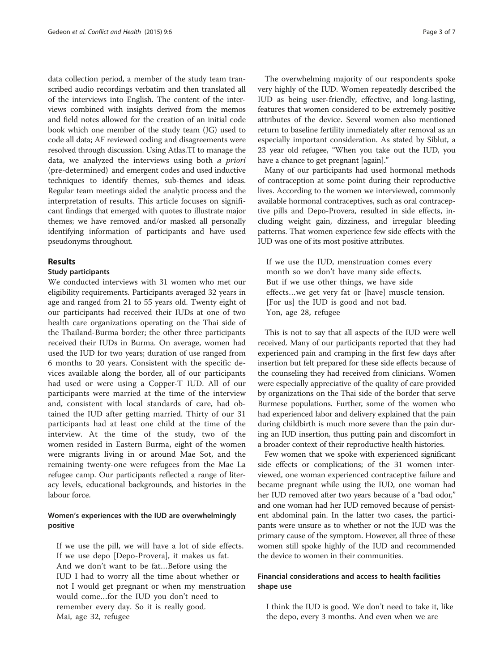data collection period, a member of the study team transcribed audio recordings verbatim and then translated all of the interviews into English. The content of the interviews combined with insights derived from the memos and field notes allowed for the creation of an initial code book which one member of the study team (JG) used to code all data; AF reviewed coding and disagreements were resolved through discussion. Using Atlas.TI to manage the data, we analyzed the interviews using both *a priori* (pre-determined) and emergent codes and used inductive techniques to identify themes, sub-themes and ideas. Regular team meetings aided the analytic process and the interpretation of results. This article focuses on significant findings that emerged with quotes to illustrate major themes; we have removed and/or masked all personally identifying information of participants and have used pseudonyms throughout.

#### Results

# Study participants

We conducted interviews with 31 women who met our eligibility requirements. Participants averaged 32 years in age and ranged from 21 to 55 years old. Twenty eight of our participants had received their IUDs at one of two health care organizations operating on the Thai side of the Thailand-Burma border; the other three participants received their IUDs in Burma. On average, women had used the IUD for two years; duration of use ranged from 6 months to 20 years. Consistent with the specific devices available along the border, all of our participants had used or were using a Copper-T IUD. All of our participants were married at the time of the interview and, consistent with local standards of care, had obtained the IUD after getting married. Thirty of our 31 participants had at least one child at the time of the interview. At the time of the study, two of the women resided in Eastern Burma, eight of the women were migrants living in or around Mae Sot, and the remaining twenty-one were refugees from the Mae La refugee camp. Our participants reflected a range of literacy levels, educational backgrounds, and histories in the labour force.

# Women's experiences with the IUD are overwhelmingly positive

If we use the pill, we will have a lot of side effects. If we use depo [Depo-Provera], it makes us fat. And we don't want to be fat…Before using the IUD I had to worry all the time about whether or not I would get pregnant or when my menstruation would come…for the IUD you don't need to remember every day. So it is really good. Mai, age 32, refugee

The overwhelming majority of our respondents spoke very highly of the IUD. Women repeatedly described the IUD as being user-friendly, effective, and long-lasting, features that women considered to be extremely positive attributes of the device. Several women also mentioned return to baseline fertility immediately after removal as an especially important consideration. As stated by Siblut, a 23 year old refugee, "When you take out the IUD, you have a chance to get pregnant [again]."

Many of our participants had used hormonal methods of contraception at some point during their reproductive lives. According to the women we interviewed, commonly available hormonal contraceptives, such as oral contraceptive pills and Depo-Provera, resulted in side effects, including weight gain, dizziness, and irregular bleeding patterns. That women experience few side effects with the IUD was one of its most positive attributes.

If we use the IUD, menstruation comes every month so we don't have many side effects. But if we use other things, we have side effects…we get very fat or [have] muscle tension. [For us] the IUD is good and not bad. Yon, age 28, refugee

This is not to say that all aspects of the IUD were well received. Many of our participants reported that they had experienced pain and cramping in the first few days after insertion but felt prepared for these side effects because of the counseling they had received from clinicians. Women were especially appreciative of the quality of care provided by organizations on the Thai side of the border that serve Burmese populations. Further, some of the women who had experienced labor and delivery explained that the pain during childbirth is much more severe than the pain during an IUD insertion, thus putting pain and discomfort in a broader context of their reproductive health histories.

Few women that we spoke with experienced significant side effects or complications; of the 31 women interviewed, one woman experienced contraceptive failure and became pregnant while using the IUD, one woman had her IUD removed after two years because of a "bad odor," and one woman had her IUD removed because of persistent abdominal pain. In the latter two cases, the participants were unsure as to whether or not the IUD was the primary cause of the symptom. However, all three of these women still spoke highly of the IUD and recommended the device to women in their communities.

# Financial considerations and access to health facilities shape use

I think the IUD is good. We don't need to take it, like the depo, every 3 months. And even when we are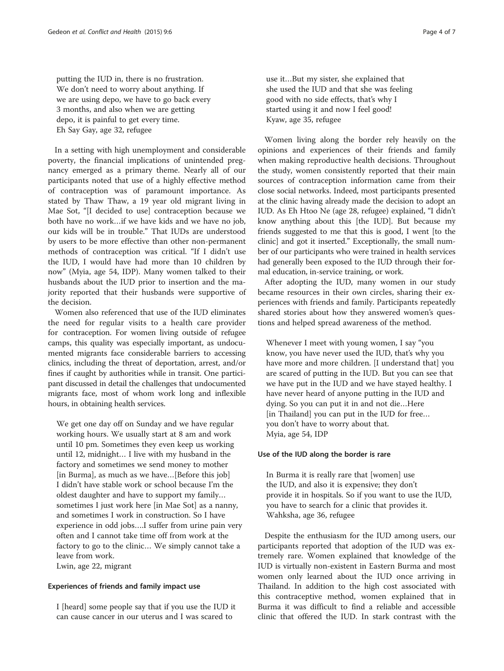putting the IUD in, there is no frustration. We don't need to worry about anything. If we are using depo, we have to go back every 3 months, and also when we are getting depo, it is painful to get every time. Eh Say Gay, age 32, refugee

In a setting with high unemployment and considerable poverty, the financial implications of unintended pregnancy emerged as a primary theme. Nearly all of our participants noted that use of a highly effective method of contraception was of paramount importance. As stated by Thaw Thaw, a 19 year old migrant living in Mae Sot, "[I decided to use] contraception because we both have no work…if we have kids and we have no job, our kids will be in trouble." That IUDs are understood by users to be more effective than other non-permanent methods of contraception was critical. "If I didn't use the IUD, I would have had more than 10 children by now" (Myia, age 54, IDP). Many women talked to their husbands about the IUD prior to insertion and the majority reported that their husbands were supportive of the decision.

Women also referenced that use of the IUD eliminates the need for regular visits to a health care provider for contraception. For women living outside of refugee camps, this quality was especially important, as undocumented migrants face considerable barriers to accessing clinics, including the threat of deportation, arrest, and/or fines if caught by authorities while in transit. One participant discussed in detail the challenges that undocumented migrants face, most of whom work long and inflexible hours, in obtaining health services.

We get one day off on Sunday and we have regular working hours. We usually start at 8 am and work until 10 pm. Sometimes they even keep us working until 12, midnight… I live with my husband in the factory and sometimes we send money to mother [in Burma], as much as we have...[Before this job] I didn't have stable work or school because I'm the oldest daughter and have to support my family… sometimes I just work here [in Mae Sot] as a nanny, and sometimes I work in construction. So I have experience in odd jobs….I suffer from urine pain very often and I cannot take time off from work at the factory to go to the clinic… We simply cannot take a leave from work.

Lwin, age 22, migrant

#### Experiences of friends and family impact use

I [heard] some people say that if you use the IUD it can cause cancer in our uterus and I was scared to

use it…But my sister, she explained that she used the IUD and that she was feeling good with no side effects, that's why I started using it and now I feel good! Kyaw, age 35, refugee

Women living along the border rely heavily on the opinions and experiences of their friends and family when making reproductive health decisions. Throughout the study, women consistently reported that their main sources of contraception information came from their close social networks. Indeed, most participants presented at the clinic having already made the decision to adopt an IUD. As Eh Htoo Ne (age 28, refugee) explained, "I didn't know anything about this [the IUD]. But because my friends suggested to me that this is good, I went [to the clinic] and got it inserted." Exceptionally, the small number of our participants who were trained in health services had generally been exposed to the IUD through their formal education, in-service training, or work.

After adopting the IUD, many women in our study became resources in their own circles, sharing their experiences with friends and family. Participants repeatedly shared stories about how they answered women's questions and helped spread awareness of the method.

Whenever I meet with young women, I say "you know, you have never used the IUD, that's why you have more and more children. [I understand that] you are scared of putting in the IUD. But you can see that we have put in the IUD and we have stayed healthy. I have never heard of anyone putting in the IUD and dying. So you can put it in and not die…Here [in Thailand] you can put in the IUD for free... you don't have to worry about that. Myia, age 54, IDP

#### Use of the IUD along the border is rare

In Burma it is really rare that [women] use the IUD, and also it is expensive; they don't provide it in hospitals. So if you want to use the IUD, you have to search for a clinic that provides it. Wahksha, age 36, refugee

Despite the enthusiasm for the IUD among users, our participants reported that adoption of the IUD was extremely rare. Women explained that knowledge of the IUD is virtually non-existent in Eastern Burma and most women only learned about the IUD once arriving in Thailand. In addition to the high cost associated with this contraceptive method, women explained that in Burma it was difficult to find a reliable and accessible clinic that offered the IUD. In stark contrast with the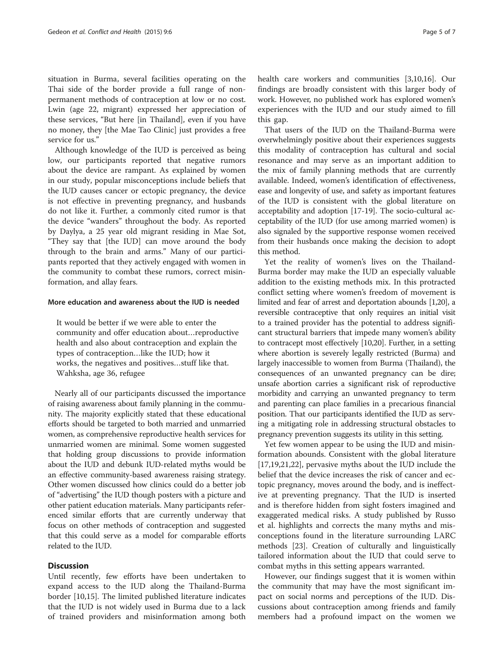situation in Burma, several facilities operating on the Thai side of the border provide a full range of nonpermanent methods of contraception at low or no cost. Lwin (age 22, migrant) expressed her appreciation of these services, "But here [in Thailand], even if you have no money, they [the Mae Tao Clinic] just provides a free service for us."

Although knowledge of the IUD is perceived as being low, our participants reported that negative rumors about the device are rampant. As explained by women in our study, popular misconceptions include beliefs that the IUD causes cancer or ectopic pregnancy, the device is not effective in preventing pregnancy, and husbands do not like it. Further, a commonly cited rumor is that the device "wanders" throughout the body. As reported by Daylya, a 25 year old migrant residing in Mae Sot, "They say that [the IUD] can move around the body through to the brain and arms." Many of our participants reported that they actively engaged with women in the community to combat these rumors, correct misinformation, and allay fears.

#### More education and awareness about the IUD is needed

It would be better if we were able to enter the community and offer education about…reproductive health and also about contraception and explain the types of contraception…like the IUD; how it works, the negatives and positives…stuff like that. Wahksha, age 36, refugee

Nearly all of our participants discussed the importance of raising awareness about family planning in the community. The majority explicitly stated that these educational efforts should be targeted to both married and unmarried women, as comprehensive reproductive health services for unmarried women are minimal. Some women suggested that holding group discussions to provide information about the IUD and debunk IUD-related myths would be an effective community-based awareness raising strategy. Other women discussed how clinics could do a better job of "advertising" the IUD though posters with a picture and other patient education materials. Many participants referenced similar efforts that are currently underway that focus on other methods of contraception and suggested that this could serve as a model for comparable efforts related to the IUD.

# **Discussion**

Until recently, few efforts have been undertaken to expand access to the IUD along the Thailand-Burma border [\[10,15\]](#page-6-0). The limited published literature indicates that the IUD is not widely used in Burma due to a lack of trained providers and misinformation among both health care workers and communities [[3](#page-6-0),[10](#page-6-0),[16](#page-6-0)]. Our findings are broadly consistent with this larger body of work. However, no published work has explored women's experiences with the IUD and our study aimed to fill this gap.

That users of the IUD on the Thailand-Burma were overwhelmingly positive about their experiences suggests this modality of contraception has cultural and social resonance and may serve as an important addition to the mix of family planning methods that are currently available. Indeed, women's identification of effectiveness, ease and longevity of use, and safety as important features of the IUD is consistent with the global literature on acceptability and adoption [[17-19\]](#page-6-0). The socio-cultural acceptability of the IUD (for use among married women) is also signaled by the supportive response women received from their husbands once making the decision to adopt this method.

Yet the reality of women's lives on the Thailand-Burma border may make the IUD an especially valuable addition to the existing methods mix. In this protracted conflict setting where women's freedom of movement is limited and fear of arrest and deportation abounds [\[1,20](#page-6-0)], a reversible contraceptive that only requires an initial visit to a trained provider has the potential to address significant structural barriers that impede many women's ability to contracept most effectively [[10](#page-6-0),[20](#page-6-0)]. Further, in a setting where abortion is severely legally restricted (Burma) and largely inaccessible to women from Burma (Thailand), the consequences of an unwanted pregnancy can be dire; unsafe abortion carries a significant risk of reproductive morbidity and carrying an unwanted pregnancy to term and parenting can place families in a precarious financial position. That our participants identified the IUD as serving a mitigating role in addressing structural obstacles to pregnancy prevention suggests its utility in this setting.

Yet few women appear to be using the IUD and misinformation abounds. Consistent with the global literature [[17,19,21,22\]](#page-6-0), pervasive myths about the IUD include the belief that the device increases the risk of cancer and ectopic pregnancy, moves around the body, and is ineffective at preventing pregnancy. That the IUD is inserted and is therefore hidden from sight fosters imagined and exaggerated medical risks. A study published by Russo et al. highlights and corrects the many myths and misconceptions found in the literature surrounding LARC methods [[23](#page-6-0)]. Creation of culturally and linguistically tailored information about the IUD that could serve to combat myths in this setting appears warranted.

However, our findings suggest that it is women within the community that may have the most significant impact on social norms and perceptions of the IUD. Discussions about contraception among friends and family members had a profound impact on the women we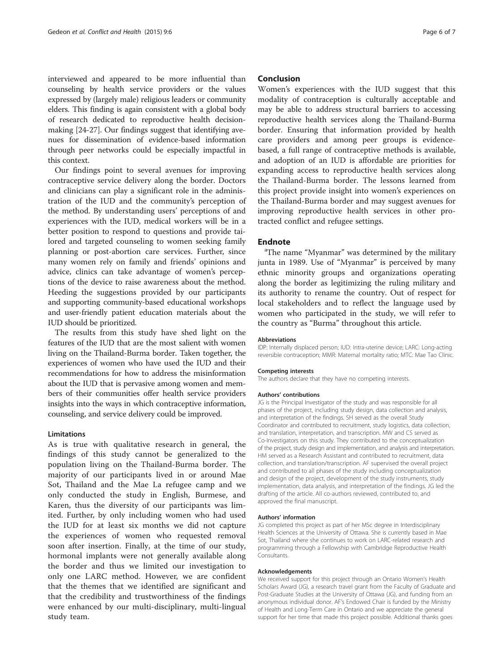interviewed and appeared to be more influential than counseling by health service providers or the values expressed by (largely male) religious leaders or community elders. This finding is again consistent with a global body of research dedicated to reproductive health decisionmaking [\[24](#page-6-0)-[27](#page-6-0)]. Our findings suggest that identifying avenues for dissemination of evidence-based information through peer networks could be especially impactful in this context.

Our findings point to several avenues for improving contraceptive service delivery along the border. Doctors and clinicians can play a significant role in the administration of the IUD and the community's perception of the method. By understanding users' perceptions of and experiences with the IUD, medical workers will be in a better position to respond to questions and provide tailored and targeted counseling to women seeking family planning or post-abortion care services. Further, since many women rely on family and friends' opinions and advice, clinics can take advantage of women's perceptions of the device to raise awareness about the method. Heeding the suggestions provided by our participants and supporting community-based educational workshops and user-friendly patient education materials about the IUD should be prioritized.

The results from this study have shed light on the features of the IUD that are the most salient with women living on the Thailand-Burma border. Taken together, the experiences of women who have used the IUD and their recommendations for how to address the misinformation about the IUD that is pervasive among women and members of their communities offer health service providers insights into the ways in which contraceptive information, counseling, and service delivery could be improved.

# Limitations

As is true with qualitative research in general, the findings of this study cannot be generalized to the population living on the Thailand-Burma border. The majority of our participants lived in or around Mae Sot, Thailand and the Mae La refugee camp and we only conducted the study in English, Burmese, and Karen, thus the diversity of our participants was limited. Further, by only including women who had used the IUD for at least six months we did not capture the experiences of women who requested removal soon after insertion. Finally, at the time of our study, hormonal implants were not generally available along the border and thus we limited our investigation to only one LARC method. However, we are confident that the themes that we identified are significant and that the credibility and trustworthiness of the findings were enhanced by our multi-disciplinary, multi-lingual study team.

## Conclusion

Women's experiences with the IUD suggest that this modality of contraception is culturally acceptable and may be able to address structural barriers to accessing reproductive health services along the Thailand-Burma border. Ensuring that information provided by health care providers and among peer groups is evidencebased, a full range of contraceptive methods is available, and adoption of an IUD is affordable are priorities for expanding access to reproductive health services along the Thailand-Burma border. The lessons learned from this project provide insight into women's experiences on the Thailand-Burma border and may suggest avenues for improving reproductive health services in other protracted conflict and refugee settings.

# **Endnote**

<sup>a</sup>The name "Myanmar" was determined by the military junta in 1989. Use of "Myanmar" is perceived by many ethnic minority groups and organizations operating along the border as legitimizing the ruling military and its authority to rename the country. Out of respect for local stakeholders and to reflect the language used by women who participated in the study, we will refer to the country as "Burma" throughout this article.

#### Abbreviations

IDP: Internally displaced person; IUD: Intra-uterine device; LARC: Long-acting reversible contraception; MMR: Maternal mortality ratio; MTC: Mae Tao Clinic.

#### Competing interests

The authors declare that they have no competing interests.

#### Authors' contributions

JG is the Principal Investigator of the study and was responsible for all phases of the project, including study design, data collection and analysis, and interpretation of the findings. SH served as the overall Study Coordinator and contributed to recruitment, study logistics, data collection, and translation, interpretation, and transcription. MW and CS served as Co-Investigators on this study. They contributed to the conceptualization of the project, study design and implementation, and analysis and interpretation. HM served as a Research Assistant and contributed to recruitment, data collection, and translation/transcription. AF supervised the overall project and contributed to all phases of the study including conceptualization and design of the project, development of the study instruments, study implementation, data analysis, and interpretation of the findings. JG led the drafting of the article. All co-authors reviewed, contributed to, and approved the final manuscript.

#### Authors' information

JG completed this project as part of her MSc degree in Interdisciplinary Health Sciences at the University of Ottawa. She is currently based in Mae Sot, Thailand where she continues to work on LARC-related research and programming through a Fellowship with Cambridge Reproductive Health **Consultants** 

#### Acknowledgements

We received support for this project through an Ontario Women's Health Scholars Award (JG), a research travel grant from the Faculty of Graduate and Post-Graduate Studies at the University of Ottawa (JG), and funding from an anonymous individual donor. AF's Endowed Chair is funded by the Ministry of Health and Long-Term Care in Ontario and we appreciate the general support for her time that made this project possible. Additional thanks goes